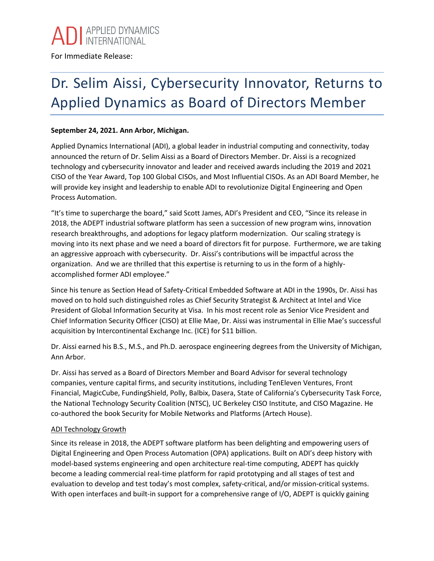

For Immediate Release:

## Dr. Selim Aissi, Cybersecurity Innovator, Returns to Applied Dynamics as Board of Directors Member

#### **September 24, 2021. Ann Arbor, Michigan.**

Applied Dynamics International (ADI), a global leader in industrial computing and connectivity, today announced the return of Dr. Selim Aissi as a Board of Directors Member. Dr. Aissi is a recognized technology and cybersecurity innovator and leader and received awards including the 2019 and 2021 CISO of the Year Award, Top 100 Global CISOs, and Most Influential CISOs. As an ADI Board Member, he will provide key insight and leadership to enable ADI to revolutionize Digital Engineering and Open Process Automation.

"It's time to supercharge the board," said Scott James, ADI's President and CEO, "Since its release in 2018, the ADEPT industrial software platform has seen a succession of new program wins, innovation research breakthroughs, and adoptions for legacy platform modernization. Our scaling strategy is moving into its next phase and we need a board of directors fit for purpose. Furthermore, we are taking an aggressive approach with cybersecurity. Dr. Aissi's contributions will be impactful across the organization. And we are thrilled that this expertise is returning to us in the form of a highlyaccomplished former ADI employee."

Since his tenure as Section Head of Safety-Critical Embedded Software at ADI in the 1990s, Dr. Aissi has moved on to hold such distinguished roles as Chief Security Strategist & Architect at Intel and Vice President of Global Information Security at Visa. In his most recent role as Senior Vice President and Chief Information Security Officer (CISO) at Ellie Mae, Dr. Aissi was instrumental in Ellie Mae's successful acquisition by Intercontinental Exchange Inc. (ICE) for \$11 billion.

Dr. Aissi earned his B.S., M.S., and Ph.D. aerospace engineering degrees from the University of Michigan, Ann Arbor.

Dr. Aissi has served as a Board of Directors Member and Board Advisor for several technology companies, venture capital firms, and security institutions, including TenEleven Ventures, Front Financial, MagicCube, FundingShield, Polly, Balbix, Dasera, State of California's Cybersecurity Task Force, the National Technology Security Coalition (NTSC), UC Berkeley CISO Institute, and CISO Magazine. He co-authored the book Security for Mobile Networks and Platforms (Artech House).

### ADI Technology Growth

Since its release in 2018, the ADEPT software platform has been delighting and empowering users of Digital Engineering and Open Process Automation (OPA) applications. Built on ADI's deep history with model-based systems engineering and open architecture real-time computing, ADEPT has quickly become a leading commercial real-time platform for rapid prototyping and all stages of test and evaluation to develop and test today's most complex, safety-critical, and/or mission-critical systems. With open interfaces and built-in support for a comprehensive range of I/O, ADEPT is quickly gaining